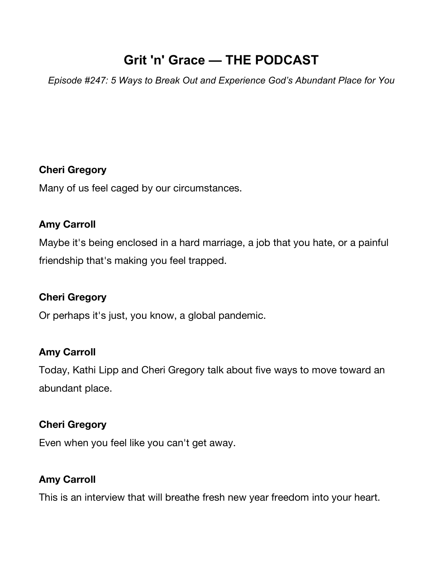# **Grit 'n' Grace — THE PODCAST**

*Episode #247: 5 Ways to Break Out and Experience God's Abundant Place for You*

# **Cheri Gregory**

Many of us feel caged by our circumstances.

### **Amy Carroll**

Maybe it's being enclosed in a hard marriage, a job that you hate, or a painful friendship that's making you feel trapped.

# **Cheri Gregory**

Or perhaps it's just, you know, a global pandemic.

# **Amy Carroll**

Today, Kathi Lipp and Cheri Gregory talk about five ways to move toward an abundant place.

# **Cheri Gregory**

Even when you feel like you can't get away.

# **Amy Carroll**

This is an interview that will breathe fresh new year freedom into your heart.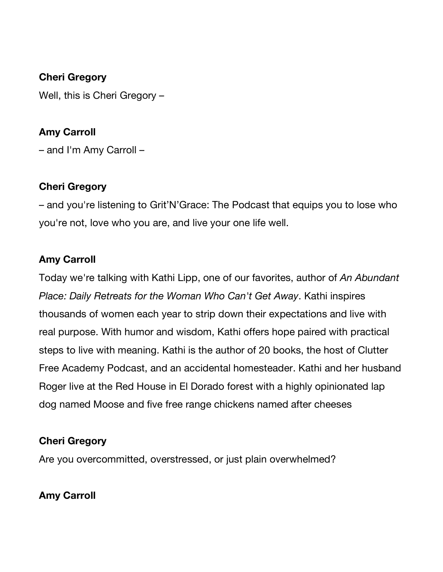### **Cheri Gregory**

Well, this is Cheri Gregory –

### **Amy Carroll**

– and I'm Amy Carroll –

### **Cheri Gregory**

– and you're listening to Grit'N'Grace: The Podcast that equips you to lose who you're not, love who you are, and live your one life well.

### **Amy Carroll**

Today we're talking with Kathi Lipp, one of our favorites, author of *An Abundant Place: Daily Retreats for the Woman Who Can't Get Away*. Kathi inspires thousands of women each year to strip down their expectations and live with real purpose. With humor and wisdom, Kathi offers hope paired with practical steps to live with meaning. Kathi is the author of 20 books, the host of Clutter Free Academy Podcast, and an accidental homesteader. Kathi and her husband Roger live at the Red House in El Dorado forest with a highly opinionated lap dog named Moose and five free range chickens named after cheeses

### **Cheri Gregory**

Are you overcommitted, overstressed, or just plain overwhelmed?

### **Amy Carroll**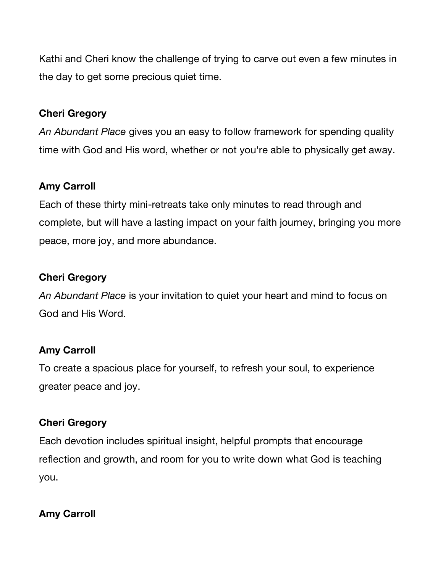Kathi and Cheri know the challenge of trying to carve out even a few minutes in the day to get some precious quiet time.

# **Cheri Gregory**

*An Abundant Place* gives you an easy to follow framework for spending quality time with God and His word, whether or not you're able to physically get away.

# **Amy Carroll**

Each of these thirty mini-retreats take only minutes to read through and complete, but will have a lasting impact on your faith journey, bringing you more peace, more joy, and more abundance.

# **Cheri Gregory**

*An Abundant Place* is your invitation to quiet your heart and mind to focus on God and His Word.

# **Amy Carroll**

To create a spacious place for yourself, to refresh your soul, to experience greater peace and joy.

# **Cheri Gregory**

Each devotion includes spiritual insight, helpful prompts that encourage reflection and growth, and room for you to write down what God is teaching you.

# **Amy Carroll**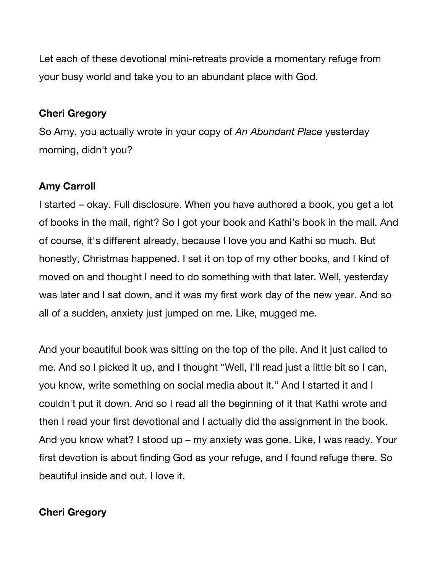Let each of these devotional mini-retreats provide a momentary refuge from your busy world and take you to an abundant place with God.

### **Cheri Gregory**

So Amy, you actually wrote in your copy of *An Abundant Place* yesterday morning, didn't you?

# **Amy Carroll**

I started – okay. Full disclosure. When you have authored a book, you get a lot of books in the mail, right? So I got your book and Kathi's book in the mail. And of course, it's different already, because I love you and Kathi so much. But honestly, Christmas happened. I set it on top of my other books, and I kind of moved on and thought I need to do something with that later. Well, yesterday was later and I sat down, and it was my first work day of the new year. And so all of a sudden, anxiety just jumped on me. Like, mugged me.

And your beautiful book was sitting on the top of the pile. And it just called to me. And so I picked it up, and I thought "Well, I'll read just a little bit so I can, you know, write something on social media about it." And I started it and I couldn't put it down. And so I read all the beginning of it that Kathi wrote and then I read your first devotional and I actually did the assignment in the book. And you know what? I stood up – my anxiety was gone. Like, I was ready. Your first devotion is about finding God as your refuge, and I found refuge there. So beautiful inside and out. I love it.

# **Cheri Gregory**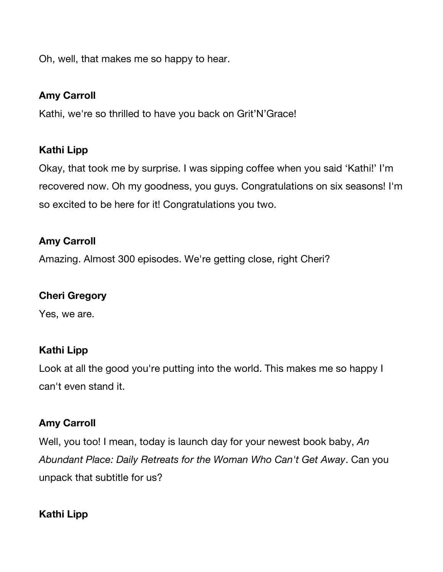Oh, well, that makes me so happy to hear.

# **Amy Carroll**

Kathi, we're so thrilled to have you back on Grit'N'Grace!

# **Kathi Lipp**

Okay, that took me by surprise. I was sipping coffee when you said 'Kathi!' I'm recovered now. Oh my goodness, you guys. Congratulations on six seasons! I'm so excited to be here for it! Congratulations you two.

# **Amy Carroll**

Amazing. Almost 300 episodes. We're getting close, right Cheri?

# **Cheri Gregory**

Yes, we are.

# **Kathi Lipp**

Look at all the good you're putting into the world. This makes me so happy I can't even stand it.

# **Amy Carroll**

Well, you too! I mean, today is launch day for your newest book baby, *An Abundant Place: Daily Retreats for the Woman Who Can't Get Away*. Can you unpack that subtitle for us?

# **Kathi Lipp**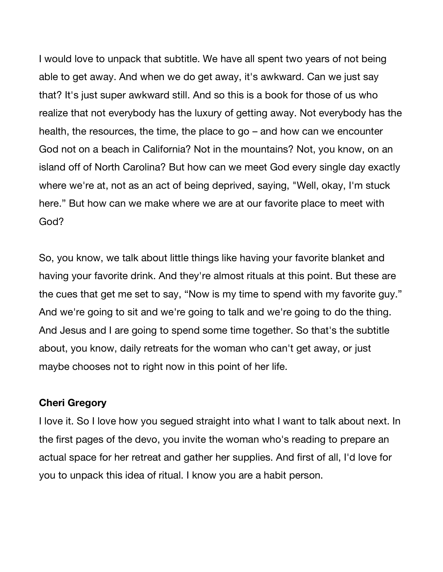I would love to unpack that subtitle. We have all spent two years of not being able to get away. And when we do get away, it's awkward. Can we just say that? It's just super awkward still. And so this is a book for those of us who realize that not everybody has the luxury of getting away. Not everybody has the health, the resources, the time, the place to go – and how can we encounter God not on a beach in California? Not in the mountains? Not, you know, on an island off of North Carolina? But how can we meet God every single day exactly where we're at, not as an act of being deprived, saying, "Well, okay, I'm stuck here." But how can we make where we are at our favorite place to meet with God?

So, you know, we talk about little things like having your favorite blanket and having your favorite drink. And they're almost rituals at this point. But these are the cues that get me set to say, "Now is my time to spend with my favorite guy." And we're going to sit and we're going to talk and we're going to do the thing. And Jesus and I are going to spend some time together. So that's the subtitle about, you know, daily retreats for the woman who can't get away, or just maybe chooses not to right now in this point of her life.

#### **Cheri Gregory**

I love it. So I love how you segued straight into what I want to talk about next. In the first pages of the devo, you invite the woman who's reading to prepare an actual space for her retreat and gather her supplies. And first of all, I'd love for you to unpack this idea of ritual. I know you are a habit person.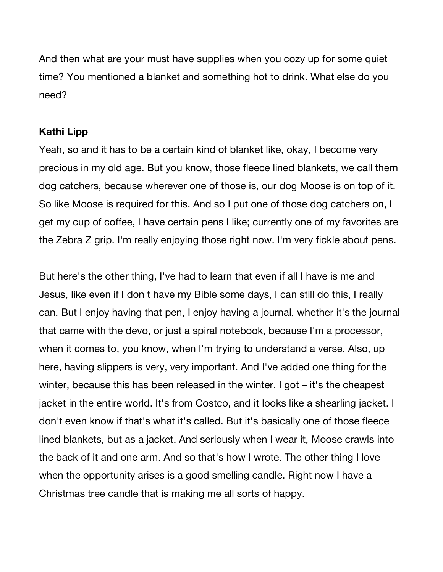And then what are your must have supplies when you cozy up for some quiet time? You mentioned a blanket and something hot to drink. What else do you need?

#### **Kathi Lipp**

Yeah, so and it has to be a certain kind of blanket like, okay, I become very precious in my old age. But you know, those fleece lined blankets, we call them dog catchers, because wherever one of those is, our dog Moose is on top of it. So like Moose is required for this. And so I put one of those dog catchers on, I get my cup of coffee, I have certain pens I like; currently one of my favorites are the Zebra Z grip. I'm really enjoying those right now. I'm very fickle about pens.

But here's the other thing, I've had to learn that even if all I have is me and Jesus, like even if I don't have my Bible some days, I can still do this, I really can. But I enjoy having that pen, I enjoy having a journal, whether it's the journal that came with the devo, or just a spiral notebook, because I'm a processor, when it comes to, you know, when I'm trying to understand a verse. Also, up here, having slippers is very, very important. And I've added one thing for the winter, because this has been released in the winter. I got – it's the cheapest jacket in the entire world. It's from Costco, and it looks like a shearling jacket. I don't even know if that's what it's called. But it's basically one of those fleece lined blankets, but as a jacket. And seriously when I wear it, Moose crawls into the back of it and one arm. And so that's how I wrote. The other thing I love when the opportunity arises is a good smelling candle. Right now I have a Christmas tree candle that is making me all sorts of happy.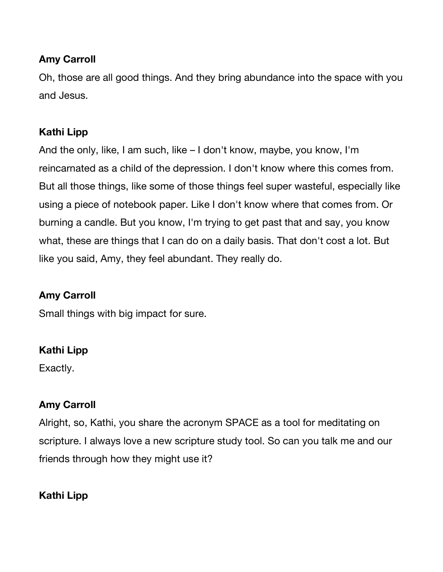# **Amy Carroll**

Oh, those are all good things. And they bring abundance into the space with you and Jesus.

# **Kathi Lipp**

And the only, like, I am such, like – I don't know, maybe, you know, I'm reincarnated as a child of the depression. I don't know where this comes from. But all those things, like some of those things feel super wasteful, especially like using a piece of notebook paper. Like I don't know where that comes from. Or burning a candle. But you know, I'm trying to get past that and say, you know what, these are things that I can do on a daily basis. That don't cost a lot. But like you said, Amy, they feel abundant. They really do.

# **Amy Carroll**

Small things with big impact for sure.

# **Kathi Lipp**

Exactly.

# **Amy Carroll**

Alright, so, Kathi, you share the acronym SPACE as a tool for meditating on scripture. I always love a new scripture study tool. So can you talk me and our friends through how they might use it?

# **Kathi Lipp**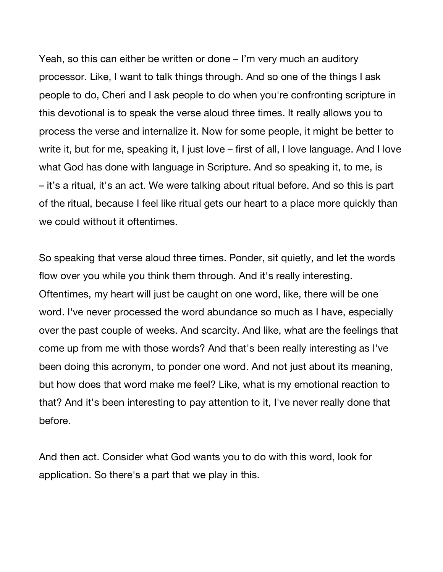Yeah, so this can either be written or done – I'm very much an auditory processor. Like, I want to talk things through. And so one of the things I ask people to do, Cheri and I ask people to do when you're confronting scripture in this devotional is to speak the verse aloud three times. It really allows you to process the verse and internalize it. Now for some people, it might be better to write it, but for me, speaking it, I just love – first of all, I love language. And I love what God has done with language in Scripture. And so speaking it, to me, is – it's a ritual, it's an act. We were talking about ritual before. And so this is part of the ritual, because I feel like ritual gets our heart to a place more quickly than we could without it oftentimes.

So speaking that verse aloud three times. Ponder, sit quietly, and let the words flow over you while you think them through. And it's really interesting. Oftentimes, my heart will just be caught on one word, like, there will be one word. I've never processed the word abundance so much as I have, especially over the past couple of weeks. And scarcity. And like, what are the feelings that come up from me with those words? And that's been really interesting as I've been doing this acronym, to ponder one word. And not just about its meaning, but how does that word make me feel? Like, what is my emotional reaction to that? And it's been interesting to pay attention to it, I've never really done that before.

And then act. Consider what God wants you to do with this word, look for application. So there's a part that we play in this.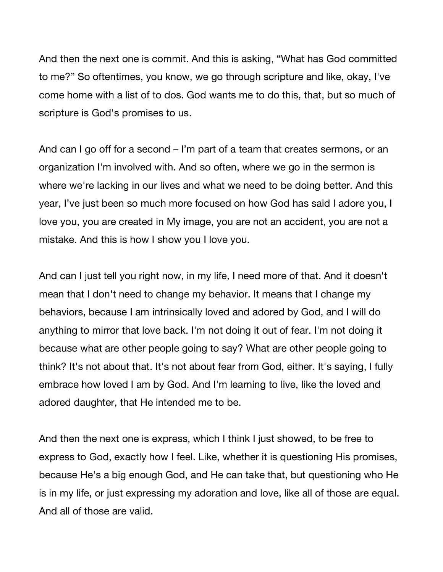And then the next one is commit. And this is asking, "What has God committed to me?" So oftentimes, you know, we go through scripture and like, okay, I've come home with a list of to dos. God wants me to do this, that, but so much of scripture is God's promises to us.

And can I go off for a second – I'm part of a team that creates sermons, or an organization I'm involved with. And so often, where we go in the sermon is where we're lacking in our lives and what we need to be doing better. And this year, I've just been so much more focused on how God has said I adore you, I love you, you are created in My image, you are not an accident, you are not a mistake. And this is how I show you I love you.

And can I just tell you right now, in my life, I need more of that. And it doesn't mean that I don't need to change my behavior. It means that I change my behaviors, because I am intrinsically loved and adored by God, and I will do anything to mirror that love back. I'm not doing it out of fear. I'm not doing it because what are other people going to say? What are other people going to think? It's not about that. It's not about fear from God, either. It's saying, I fully embrace how loved I am by God. And I'm learning to live, like the loved and adored daughter, that He intended me to be.

And then the next one is express, which I think I just showed, to be free to express to God, exactly how I feel. Like, whether it is questioning His promises, because He's a big enough God, and He can take that, but questioning who He is in my life, or just expressing my adoration and love, like all of those are equal. And all of those are valid.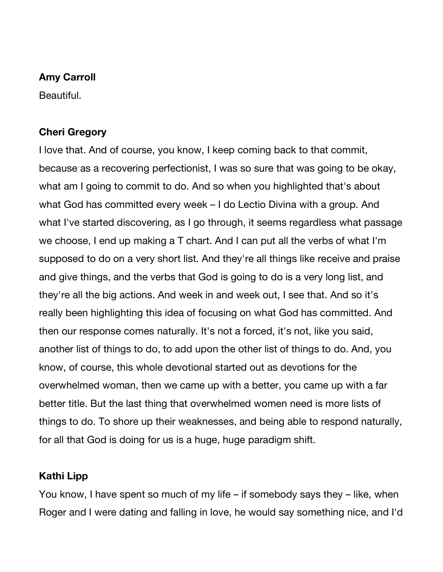#### **Amy Carroll**

Beautiful.

### **Cheri Gregory**

I love that. And of course, you know, I keep coming back to that commit, because as a recovering perfectionist, I was so sure that was going to be okay, what am I going to commit to do. And so when you highlighted that's about what God has committed every week – I do Lectio Divina with a group. And what I've started discovering, as I go through, it seems regardless what passage we choose, I end up making a T chart. And I can put all the verbs of what I'm supposed to do on a very short list. And they're all things like receive and praise and give things, and the verbs that God is going to do is a very long list, and they're all the big actions. And week in and week out, I see that. And so it's really been highlighting this idea of focusing on what God has committed. And then our response comes naturally. It's not a forced, it's not, like you said, another list of things to do, to add upon the other list of things to do. And, you know, of course, this whole devotional started out as devotions for the overwhelmed woman, then we came up with a better, you came up with a far better title. But the last thing that overwhelmed women need is more lists of things to do. To shore up their weaknesses, and being able to respond naturally, for all that God is doing for us is a huge, huge paradigm shift.

# **Kathi Lipp**

You know, I have spent so much of my life – if somebody says they – like, when Roger and I were dating and falling in love, he would say something nice, and I'd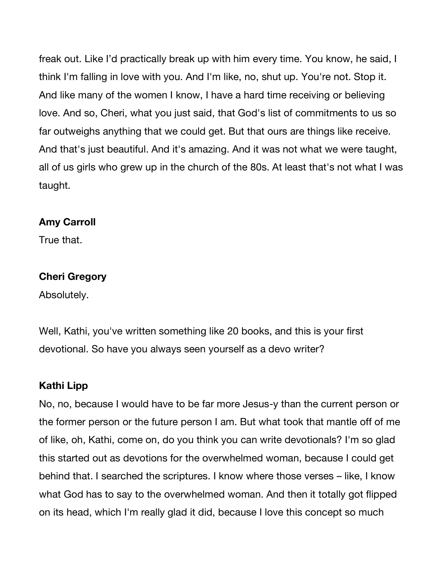freak out. Like I'd practically break up with him every time. You know, he said, I think I'm falling in love with you. And I'm like, no, shut up. You're not. Stop it. And like many of the women I know, I have a hard time receiving or believing love. And so, Cheri, what you just said, that God's list of commitments to us so far outweighs anything that we could get. But that ours are things like receive. And that's just beautiful. And it's amazing. And it was not what we were taught, all of us girls who grew up in the church of the 80s. At least that's not what I was taught.

### **Amy Carroll**

True that.

#### **Cheri Gregory**

Absolutely.

Well, Kathi, you've written something like 20 books, and this is your first devotional. So have you always seen yourself as a devo writer?

#### **Kathi Lipp**

No, no, because I would have to be far more Jesus-y than the current person or the former person or the future person I am. But what took that mantle off of me of like, oh, Kathi, come on, do you think you can write devotionals? I'm so glad this started out as devotions for the overwhelmed woman, because I could get behind that. I searched the scriptures. I know where those verses – like, I know what God has to say to the overwhelmed woman. And then it totally got flipped on its head, which I'm really glad it did, because I love this concept so much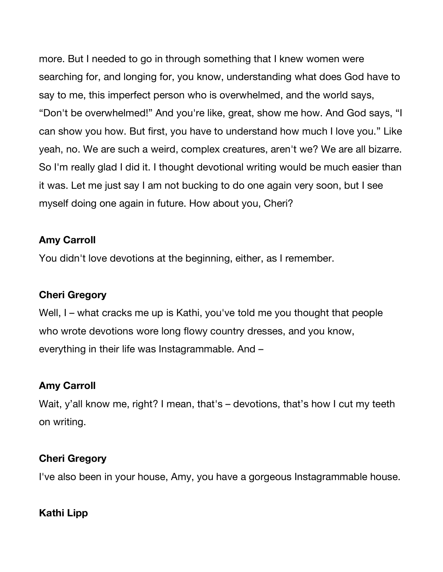more. But I needed to go in through something that I knew women were searching for, and longing for, you know, understanding what does God have to say to me, this imperfect person who is overwhelmed, and the world says, "Don't be overwhelmed!" And you're like, great, show me how. And God says, "I can show you how. But first, you have to understand how much I love you." Like yeah, no. We are such a weird, complex creatures, aren't we? We are all bizarre. So I'm really glad I did it. I thought devotional writing would be much easier than it was. Let me just say I am not bucking to do one again very soon, but I see myself doing one again in future. How about you, Cheri?

### **Amy Carroll**

You didn't love devotions at the beginning, either, as I remember.

# **Cheri Gregory**

Well, I – what cracks me up is Kathi, you've told me you thought that people who wrote devotions wore long flowy country dresses, and you know, everything in their life was Instagrammable. And –

# **Amy Carroll**

Wait, y'all know me, right? I mean, that's – devotions, that's how I cut my teeth on writing.

### **Cheri Gregory**

I've also been in your house, Amy, you have a gorgeous Instagrammable house.

# **Kathi Lipp**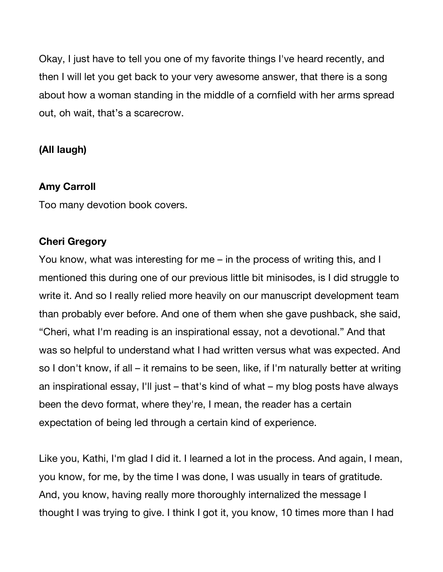Okay, I just have to tell you one of my favorite things I've heard recently, and then I will let you get back to your very awesome answer, that there is a song about how a woman standing in the middle of a cornfield with her arms spread out, oh wait, that's a scarecrow.

### **(All laugh)**

### **Amy Carroll**

Too many devotion book covers.

### **Cheri Gregory**

You know, what was interesting for me – in the process of writing this, and I mentioned this during one of our previous little bit minisodes, is I did struggle to write it. And so I really relied more heavily on our manuscript development team than probably ever before. And one of them when she gave pushback, she said, "Cheri, what I'm reading is an inspirational essay, not a devotional." And that was so helpful to understand what I had written versus what was expected. And so I don't know, if all – it remains to be seen, like, if I'm naturally better at writing an inspirational essay, I'll just – that's kind of what – my blog posts have always been the devo format, where they're, I mean, the reader has a certain expectation of being led through a certain kind of experience.

Like you, Kathi, I'm glad I did it. I learned a lot in the process. And again, I mean, you know, for me, by the time I was done, I was usually in tears of gratitude. And, you know, having really more thoroughly internalized the message I thought I was trying to give. I think I got it, you know, 10 times more than I had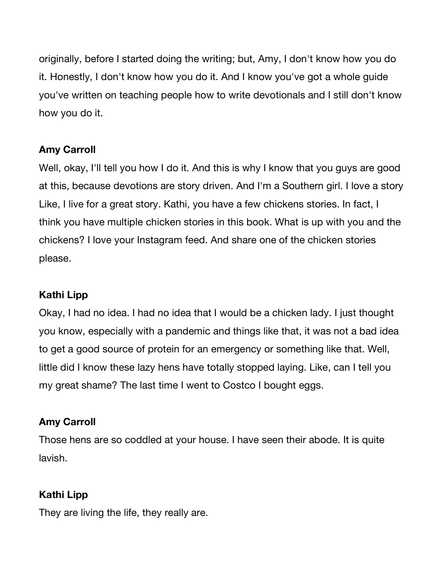originally, before I started doing the writing; but, Amy, I don't know how you do it. Honestly, I don't know how you do it. And I know you've got a whole guide you've written on teaching people how to write devotionals and I still don't know how you do it.

### **Amy Carroll**

Well, okay, I'll tell you how I do it. And this is why I know that you guys are good at this, because devotions are story driven. And I'm a Southern girl. I love a story Like, I live for a great story. Kathi, you have a few chickens stories. In fact, I think you have multiple chicken stories in this book. What is up with you and the chickens? I love your Instagram feed. And share one of the chicken stories please.

### **Kathi Lipp**

Okay, I had no idea. I had no idea that I would be a chicken lady. I just thought you know, especially with a pandemic and things like that, it was not a bad idea to get a good source of protein for an emergency or something like that. Well, little did I know these lazy hens have totally stopped laying. Like, can I tell you my great shame? The last time I went to Costco I bought eggs.

### **Amy Carroll**

Those hens are so coddled at your house. I have seen their abode. It is quite lavish.

### **Kathi Lipp**

They are living the life, they really are.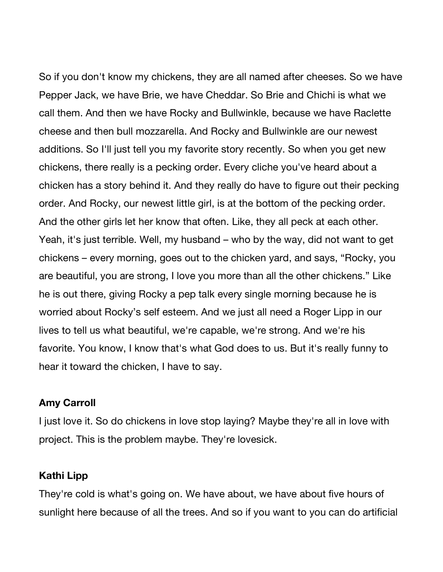So if you don't know my chickens, they are all named after cheeses. So we have Pepper Jack, we have Brie, we have Cheddar. So Brie and Chichi is what we call them. And then we have Rocky and Bullwinkle, because we have Raclette cheese and then bull mozzarella. And Rocky and Bullwinkle are our newest additions. So I'll just tell you my favorite story recently. So when you get new chickens, there really is a pecking order. Every cliche you've heard about a chicken has a story behind it. And they really do have to figure out their pecking order. And Rocky, our newest little girl, is at the bottom of the pecking order. And the other girls let her know that often. Like, they all peck at each other. Yeah, it's just terrible. Well, my husband – who by the way, did not want to get chickens – every morning, goes out to the chicken yard, and says, "Rocky, you are beautiful, you are strong, I love you more than all the other chickens." Like he is out there, giving Rocky a pep talk every single morning because he is worried about Rocky's self esteem. And we just all need a Roger Lipp in our lives to tell us what beautiful, we're capable, we're strong. And we're his favorite. You know, I know that's what God does to us. But it's really funny to hear it toward the chicken, I have to say.

#### **Amy Carroll**

I just love it. So do chickens in love stop laying? Maybe they're all in love with project. This is the problem maybe. They're lovesick.

#### **Kathi Lipp**

They're cold is what's going on. We have about, we have about five hours of sunlight here because of all the trees. And so if you want to you can do artificial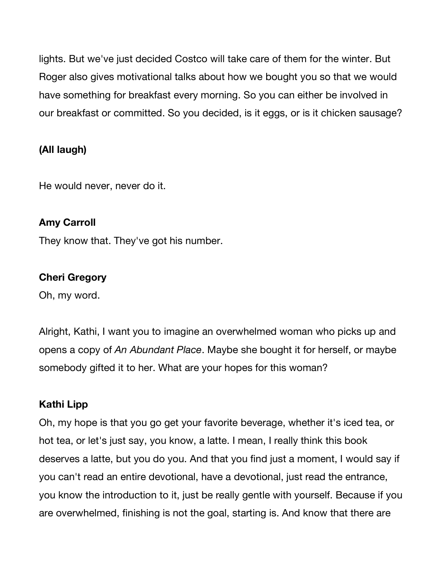lights. But we've just decided Costco will take care of them for the winter. But Roger also gives motivational talks about how we bought you so that we would have something for breakfast every morning. So you can either be involved in our breakfast or committed. So you decided, is it eggs, or is it chicken sausage?

# **(All laugh)**

He would never, never do it.

### **Amy Carroll**

They know that. They've got his number.

### **Cheri Gregory**

Oh, my word.

Alright, Kathi, I want you to imagine an overwhelmed woman who picks up and opens a copy of *An Abundant Place*. Maybe she bought it for herself, or maybe somebody gifted it to her. What are your hopes for this woman?

### **Kathi Lipp**

Oh, my hope is that you go get your favorite beverage, whether it's iced tea, or hot tea, or let's just say, you know, a latte. I mean, I really think this book deserves a latte, but you do you. And that you find just a moment, I would say if you can't read an entire devotional, have a devotional, just read the entrance, you know the introduction to it, just be really gentle with yourself. Because if you are overwhelmed, finishing is not the goal, starting is. And know that there are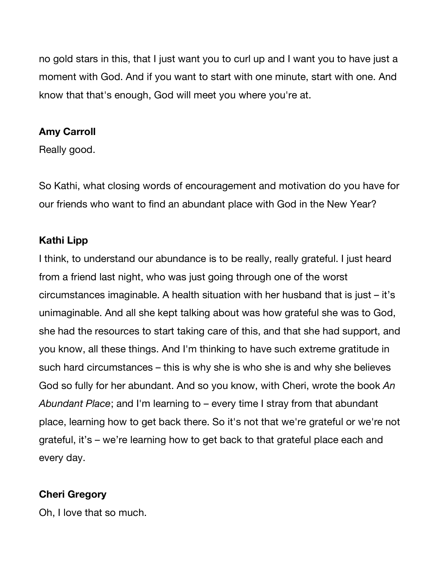no gold stars in this, that I just want you to curl up and I want you to have just a moment with God. And if you want to start with one minute, start with one. And know that that's enough, God will meet you where you're at.

### **Amy Carroll**

Really good.

So Kathi, what closing words of encouragement and motivation do you have for our friends who want to find an abundant place with God in the New Year?

### **Kathi Lipp**

I think, to understand our abundance is to be really, really grateful. I just heard from a friend last night, who was just going through one of the worst circumstances imaginable. A health situation with her husband that is just – it's unimaginable. And all she kept talking about was how grateful she was to God, she had the resources to start taking care of this, and that she had support, and you know, all these things. And I'm thinking to have such extreme gratitude in such hard circumstances – this is why she is who she is and why she believes God so fully for her abundant. And so you know, with Cheri, wrote the book *An Abundant Place*; and I'm learning to – every time I stray from that abundant place, learning how to get back there. So it's not that we're grateful or we're not grateful, it's – we're learning how to get back to that grateful place each and every day.

### **Cheri Gregory**

Oh, I love that so much.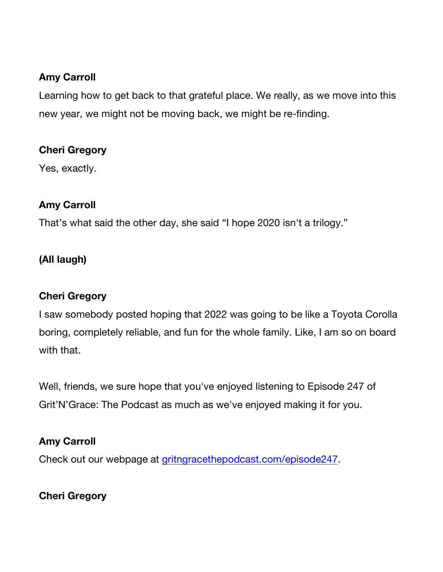### **Amy Carroll**

Learning how to get back to that grateful place. We really, as we move into this new year, we might not be moving back, we might be re-finding.

### **Cheri Gregory**

Yes, exactly.

### **Amy Carroll**

That's what said the other day, she said "I hope 2020 isn't a trilogy."

# **(All laugh)**

### **Cheri Gregory**

I saw somebody posted hoping that 2022 was going to be like a Toyota Corolla boring, completely reliable, and fun for the whole family. Like, I am so on board with that.

Well, friends, we sure hope that you've enjoyed listening to Episode 247 of Grit'N'Grace: The Podcast as much as we've enjoyed making it for you.

### **Amy Carroll**

Check out our webpage at gritngracethepodcast.com/episode247.

# **Cheri Gregory**